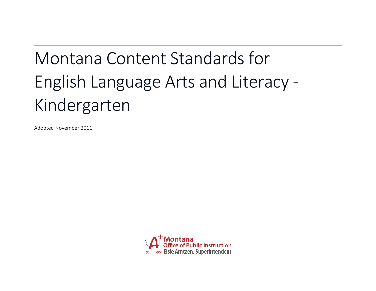# Montana Content Standards for English Language Arts and Literacy - Kindergarten

Adopted November 2011

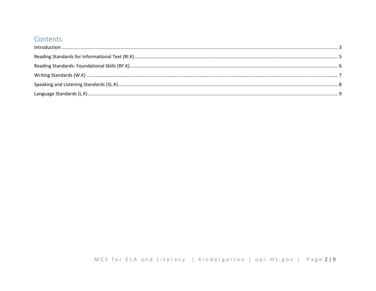# Contents

| $\label{f:1} \mbox{Introduction} \,\, \ldots \,\, \ldots \,\, \ldots \,\, \ldots \,\, \ldots \,\, \ldots \,\, \ldots \,\, \ldots \,\, \ldots \,\, \ldots \,\, \ldots \,\, \ldots \,\, \ldots \,\, \ldots \,\, \ldots \,\, \ldots \,\, \ldots \,\, \ldots \,\, \ldots \,\, \ldots \,\, \ldots \,\, \ldots \,\, \ldots \,\, \ldots \,\, \ldots \,\, \ldots \,\, \ldots \,\, \ldots \,\, \ldots \,\, \ldots \,\, \ldots \,\, \ldots \,\, \ldots \,\, \ldots \,\,$ |  |
|----------------------------------------------------------------------------------------------------------------------------------------------------------------------------------------------------------------------------------------------------------------------------------------------------------------------------------------------------------------------------------------------------------------------------------------------------------------|--|
|                                                                                                                                                                                                                                                                                                                                                                                                                                                                |  |
|                                                                                                                                                                                                                                                                                                                                                                                                                                                                |  |
|                                                                                                                                                                                                                                                                                                                                                                                                                                                                |  |
|                                                                                                                                                                                                                                                                                                                                                                                                                                                                |  |
|                                                                                                                                                                                                                                                                                                                                                                                                                                                                |  |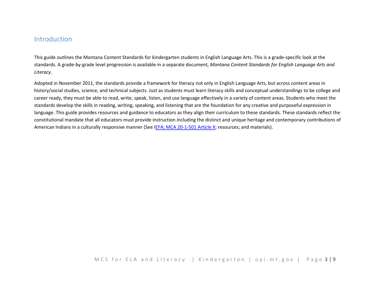## <span id="page-2-0"></span>Introduction

This guide outlines the Montana Content Standards for kindergarten students in English Language Arts. This is a grade-specific look at the standards. A grade-by-grade level progression is available in a separate document, *Montana Content Standards for English Language Arts and Literacy*.

Adopted in November 2011, the standards provide a framework for literacy not only in English Language Arts, but across content areas in history/social studies, science, and technical subjects. Just as students must learn literacy skills and conceptual understandings to be college and career ready, they must be able to read, write, speak, listen, and use language effectively in a variety of content areas. Students who meet the standards develop the skills in reading, writing, speaking, and listening that are the foundation for any creative and purposeful expression in language. This guide provides resources and guidance to educators as they align their curriculum to these standards. These standards reflect the constitutional mandate that all educators must provide instruction including the distinct and unique heritage and contemporary contributions of American Indians in a culturally responsive manner (See [IEFA; MCA 20-1-501 Article X;](http://www.opi.mt.gov/PDF/IndianEd/Resources/ArticleX_IEFA.pdf) resources; and materials).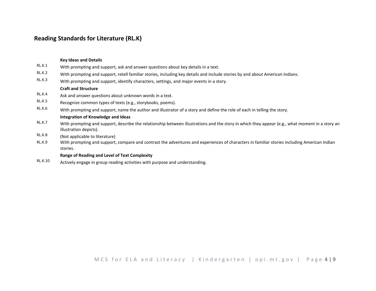## **Reading Standards for Literature (RL.K)**

## **Key Ideas and Details** RL.K.1 With prompting and support, ask and answer questions about key details in a text. RL.K.2 With prompting and support, retell familiar stories, including key details and include stories by and about American Indians. RL.K.3 With prompting and support, identify characters, settings, and major events in a story. **Craft and Structure** RL.K.4 Ask and answer questions about unknown words in a text. RL.K.5 Recognize common types of texts (e.g., storybooks, poems). RL.K.6 With prompting and support, name the author and illustrator of a story and define the role of each in telling the story. **Integration of Knowledge and Ideas** RL.K.7 With prompting and support, describe the relationship between illustrations and the story in which they appear (e.g., what moment in a story an illustration depicts). RL.K.8 (Not applicable to literature) RL.K.9 With prompting and support, compare and contrast the adventures and experiences of characters in familiar stories including American Indian stories. **Range of Reading and Level of Text Complexity** RL.K.10 Actively engage in group reading activities with purpose and understanding.

MCS for ELA and Literacy | Kindergarten | opi.mt.gov | Page 4 | 9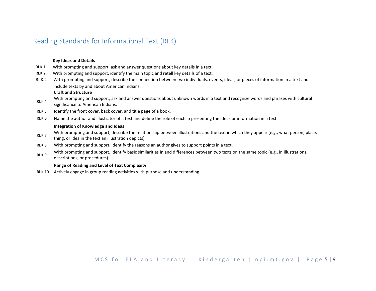# <span id="page-4-0"></span>Reading Standards for Informational Text (RI.K)

#### **Key Ideas and Details**

- RI.K.1 With prompting and support, ask and answer questions about key details in a text.
- RI.K.2 With prompting and support, identify the main topic and retell key details of a text.
- RI.K.2 With prompting and support, describe the connection between two individuals, events, ideas, or pieces of information in a text and include texts by and about American Indians.

#### **Craft and Structure**

- RI.K.4 With prompting and support, ask and answer questions about unknown words in a text and recognize words and phrases with cultural significance to American Indians.
- RI.K.5 Identify the front cover, back cover, and title page of a book.
- RI.K.6 Name the author and illustrator of a text and define the role of each in presenting the ideas or information in a text.

#### **Integration of Knowledge and Ideas**

- With prompting and support, describe the relationship between illustrations and the text in which they appear (e.g., what person, place, thing, or idea in the text an illustration depicts).
- RI.K.8 With prompting and support, identify the reasons an author gives to support points in a text.
- With prompting and support, identify basic similarities in and differences between two texts on the same topic (e.g., in illustrations, descriptions, or procedures).

#### **Range of Reading and Level of Text Complexity**

RI.K.10 Actively engage in group reading activities with purpose and understanding.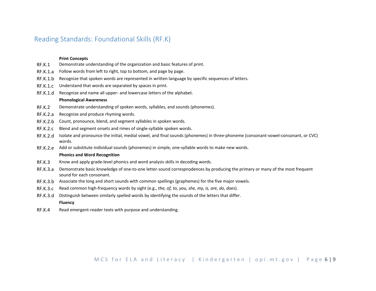## <span id="page-5-0"></span>Reading Standards: Foundational Skills (RF.K)

#### **Print Concepts**

- RF.K.1 Demonstrate understanding of the organization and basic features of print.
- RF.K.1.a Follow words from left to right, top to bottom, and page by page.
- RF.K.1.b Recognize that spoken words are represented in written language by specific sequences of letters.
- RF.K.1.c Understand that words are separated by spaces in print.
- RF.K.1.d Recognize and name all upper- and lowercase letters of the alphabet.

#### **Phonological Awareness**

- RF.K.2 Demonstrate understanding of spoken words, syllables, and sounds (phonemes).
- RF.K.2.a Recognize and produce rhyming words.
- RF.K.2.b Count, pronounce, blend, and segment syllables in spoken words.
- RF.K.2.c Blend and segment onsets and rimes of single-syllable spoken words.
- RF.K.2.d Isolate and pronounce the initial, medial vowel, and final sounds (phonemes) in three-phoneme (consonant-vowel-consonant, or CVC) words.
- RF.K.2.e Add or substitute individual sounds (phonemes) in simple, one-syllable words to make new words.

#### **Phonics and Word Recognition**

- RF.K.3 Know and apply grade-level phonics and word analysis skills in decoding words.
- RF.K.3.a Demonstrate basic knowledge of one-to-one letter-sound correspnodences by producing the primary or many of the most frequent sound for each consonant.
- RF.K.3.b Associate the long and short sounds with common spellings (graphemes) for the five major vowels.
- RF.K.3.c Read common high-frequency words by sight (e.g., *the, of, to, you, she, my, is, are, do, does*).
- RF.K.3.d Distinguish between similarly spelled words by identifying the sounds of the letters that differ.

#### **Fluency**

RF.K.4 Read emergent-reader texts with purpose and understanding.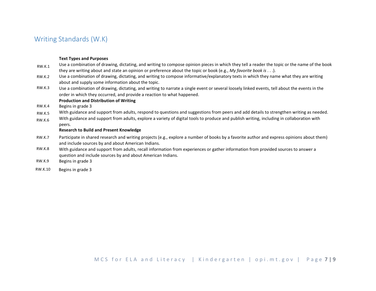# <span id="page-6-0"></span>Writing Standards (W.K)

#### **Text Types and Purposes**

- RW<sub>K1</sub> Use a combination of drawing, dictating, and writing to compose opinion pieces in which they tell a reader the topic or the name of the book they are writing about and state an opinion or preference about the topic or book (e.g., *My favorite book is* . . .).
- $R$ W $K$ 2 Use a combination of drawing, dictating, and writing to compose informative/explanatory texts in which they name what they are writing about and supply some information about the topic.
- RW.K.3 Use a combination of drawing, dictating, and writing to narrate a single event or several loosely linked events, tell about the events in the order in which they occurred, and provide a reaction to what happened.

#### **Production and Distribution of Writing**

- RW.K.4 Begins in grade 3
- RW.K.5 With guidance and support from adults, respond to questions and suggestions from peers and add details to strengthen writing as needed.
- RW.K.6 With guidance and support from adults, explore a variety of digital tools to produce and publish writing, including in collaboration with peers.

#### **Research to Build and Present Knowledge**

- RW.K.7 Participate in shared research and writing projects (e.g., explore a number of books by a favorite author and express opinions about them) and include sources by and about American Indians.
- RW.K.8 With guidance and support from adults, recall information from experiences or gather information from provided sources to answer a question and include sources by and about American Indians.
- RW.K.9 Begins in grade 3
- RW.K.10 Begins in grade 3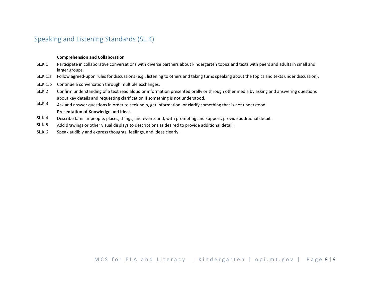# <span id="page-7-0"></span>Speaking and Listening Standards (SL.K)

#### **Comprehension and Collaboration**

- SL.K.1 Participate in collaborative conversations with diverse partners about kindergarten topics and texts with peers and adults in small and larger groups.
- SL.K.1.a Follow agreed-upon rules for discussions (e.g., listening to others and taking turns speaking about the topics and texts under discussion).
- SL.K.1.b Continue a conversation through multiple exchanges.
- SL.K.2 Confirm understanding of a text read aloud or information presented orally or through other media by asking and answering questions about key details and requesting clarification if something is not understood.
- SL.K.3 Ask and answer questions in order to seek help, get information, or clarify something that is not understood. **Presentation of Knowledge and Ideas**
- SL.K.4 Describe familiar people, places, things, and events and, with prompting and support, provide additional detail.
- SL.K.5 Add drawings or other visual displays to descriptions as desired to provide additional detail.
- SL.K.6 Speak audibly and express thoughts, feelings, and ideas clearly.